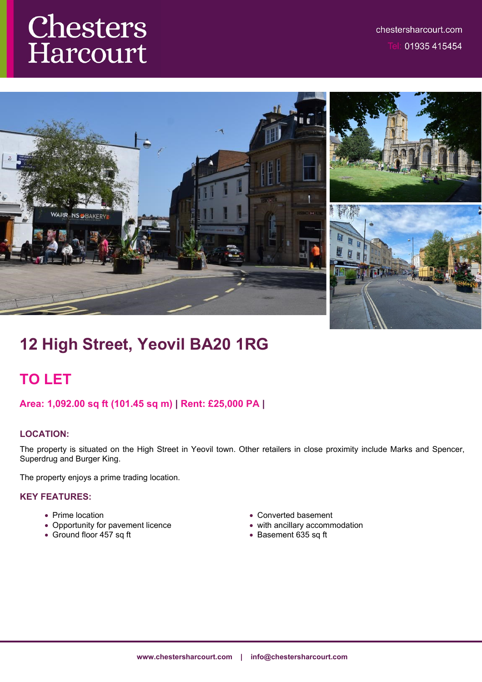# **Chesters**<br>Harcourt



# **12 High Street, Yeovil BA20 1RG**

# **TO LET**

# **Area: 1,092.00 sq ft (101.45 sq m) | Rent: £25,000 PA |**

## **LOCATION:**

The property is situated on the High Street in Yeovil town. Other retailers in close proximity include Marks and Spencer, Superdrug and Burger King.

The property enjoys a prime trading location.

# **KEY FEATURES:**

- Prime location
- Opportunity for pavement licence
- Ground floor 457 sq ft
- Converted basement
- with ancillary accommodation
- Basement 635 sq ft